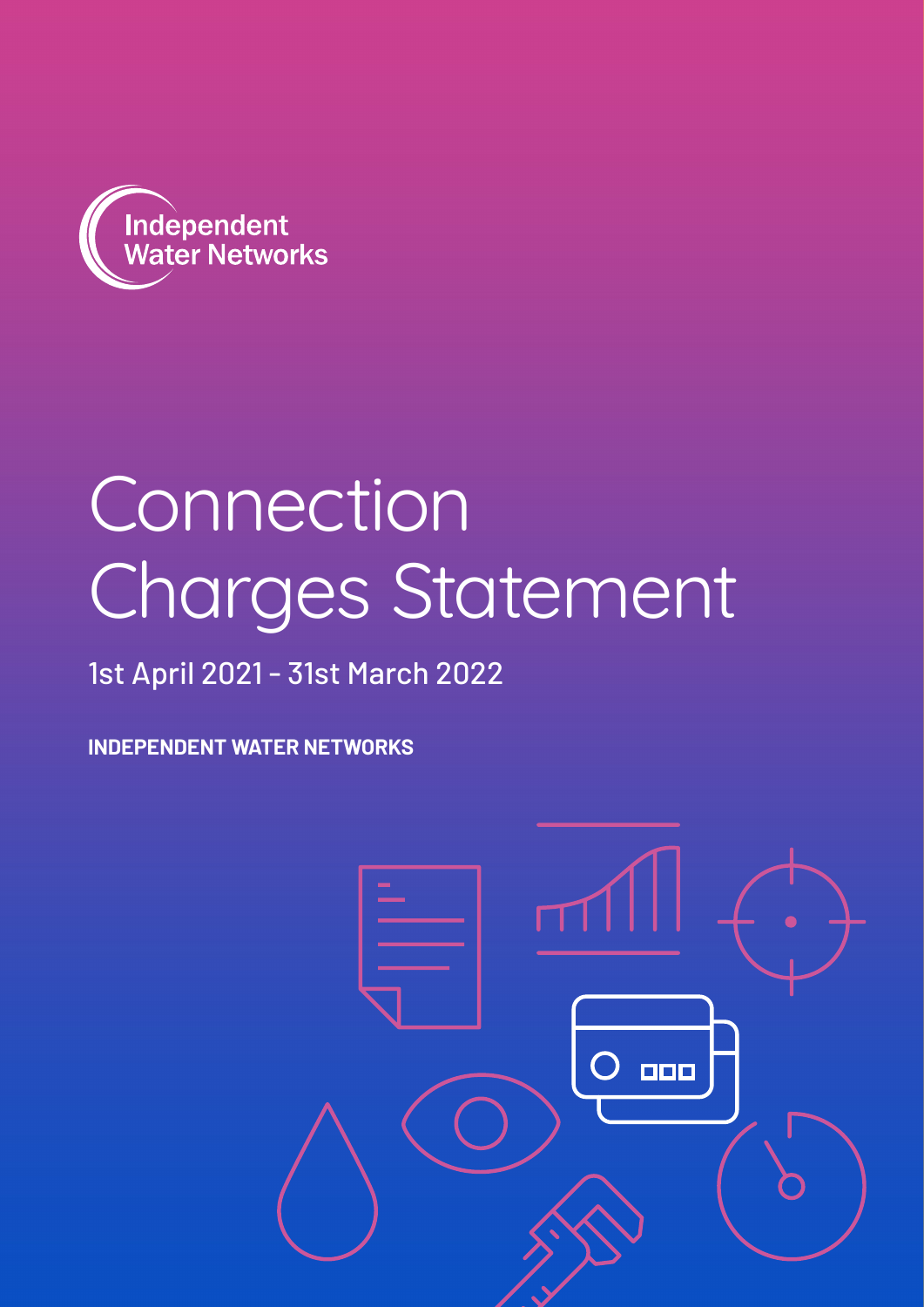

## Connection Charges Statement

### 1st April 2021 - 31st March 2022

**INDEPENDENT WATER NETWORKS**

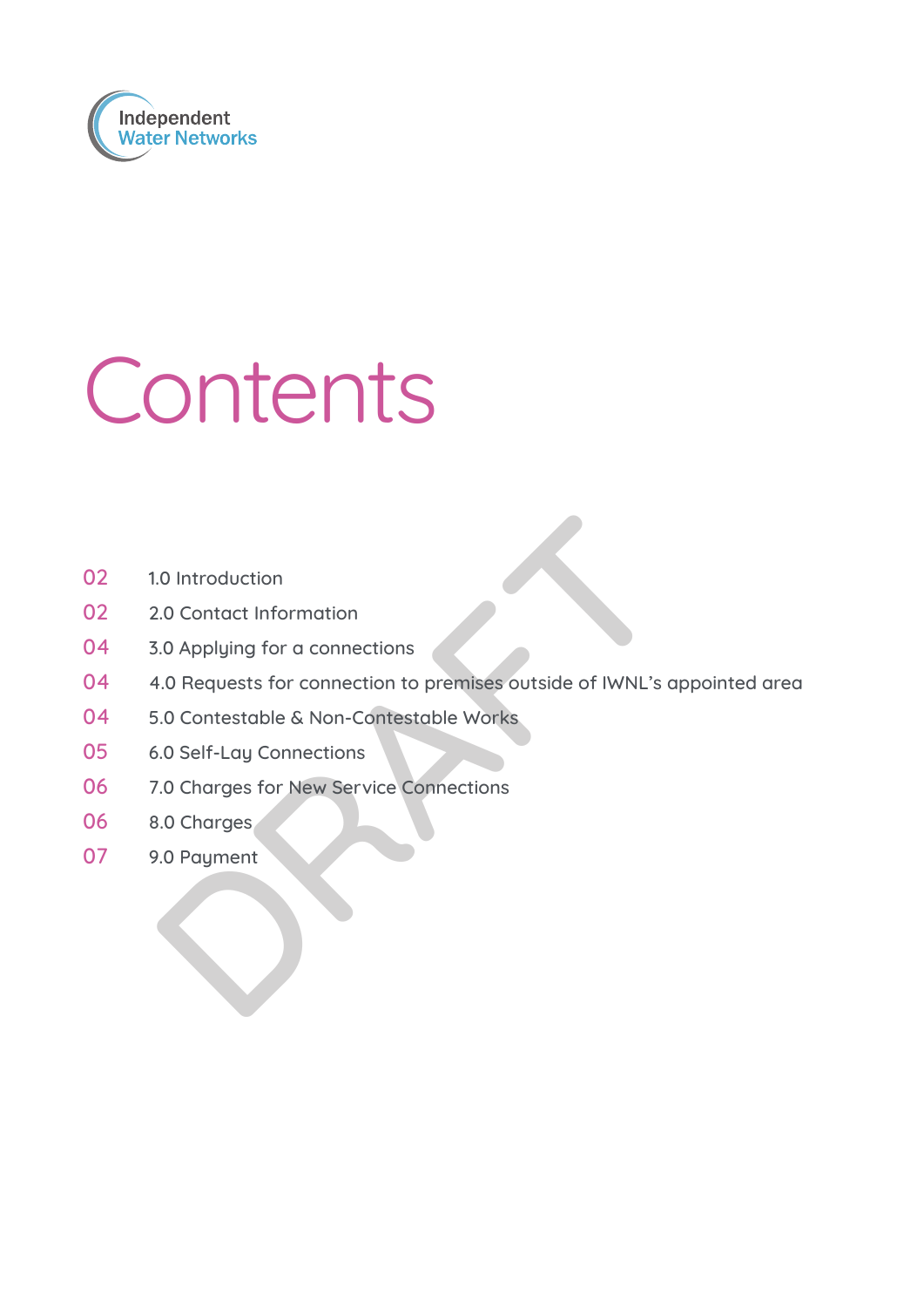

# Contents

- 02 1.0 Introduction
- 02 2.0 Contact Information
- 04 3.0 Applying for a connections
- 0.0 Introduction<br>
2.0 Contact Information<br>
3.0 Applying for a connections<br>
4.0 Requests for connections<br>
5.0 Contestable & Non-Contestable Works<br>
5.0 Self-Lay Connections<br>
3.0 Charges<br>
9.0 Payment<br>
9.0 Payment 04 4.0 Requests for connection to premises outside of IWNL's appointed area
- 04 5.0 Contestable & Non-Contestable Works
- 05 6.0 Self-Lay Connections
- 06 7.0 Charges for New Service Connections
- 06 8.0 Charges
- 07 9.0 Paument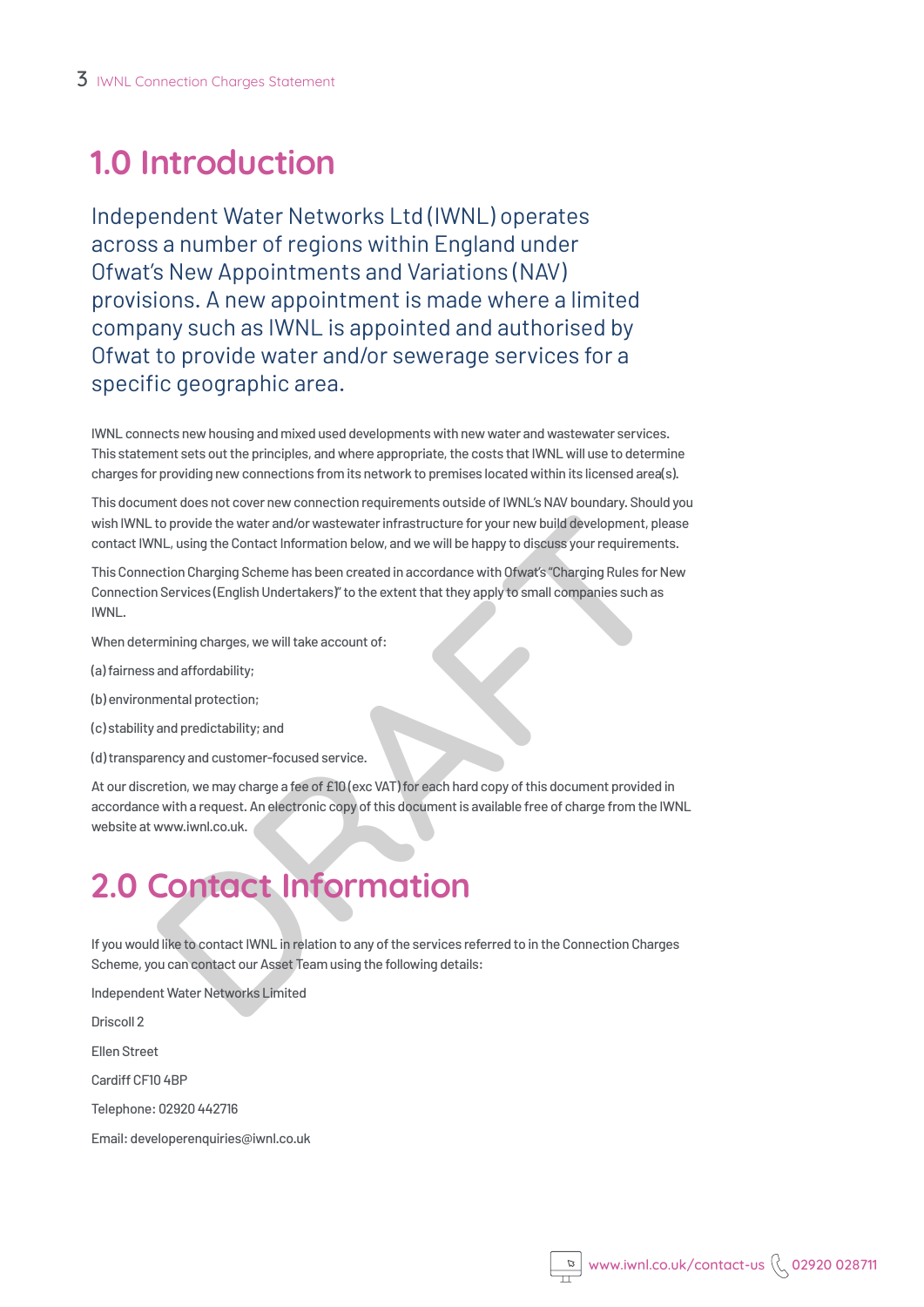### **1.0 Introduction**

Independent Water Networks Ltd (IWNL) operates across a number of regions within England under Ofwat's New Appointments and Variations (NAV) provisions. A new appointment is made where a limited company such as IWNL is appointed and authorised by Ofwat to provide water and/or sewerage services for a specific geographic area.

IWNL connects new housing and mixed used developments with new water and wastewater services. This statement sets out the principles, and where appropriate, the costs that IWNL will use to determine charges for providing new connections from its network to premises located within its licensed area(s).

This document does not cover new connection requirements outside of IWNL's NAV boundary. Should you wish IWNL to provide the water and/or wastewater infrastructure for your new build development, please contact IWNL, using the Contact Information below, and we will be happy to discuss your requirements.

This Connection Charging Scheme has been created in accordance with Ofwat's "Charging Rules for New Connection Services (English Undertakers)" to the extent that they apply to small companies such as IWNL.

When determining charges, we will take account of:

- (a) fairness and affordability;
- (b) environmental protection;
- (c) stability and predictability; and
- (d) transparency and customer-focused service.

to provide the water and/or wastewater infrastructure for your new build development, ple<br>NL, using the Contact Information below, and we will be happy to discuss your requirement<br>oction Charging Scheme has been created in At our discretion, we may charge a fee of £10 (exc VAT) for each hard copy of this document provided in accordance with a request. An electronic copy of this document is available free of charge from the IWNL website at www.iwnl.co.uk.

### **2.0 Contact Information**

If you would like to contact IWNL in relation to any of the services referred to in the Connection Charges Scheme, you can contact our Asset Team using the following details:

Independent Water Networks Limited

Driscoll 2

Ellen Street

Cardiff CF10 4BP

Telephone: 02920 442716

Email: developerenquiries@iwnl.co.uk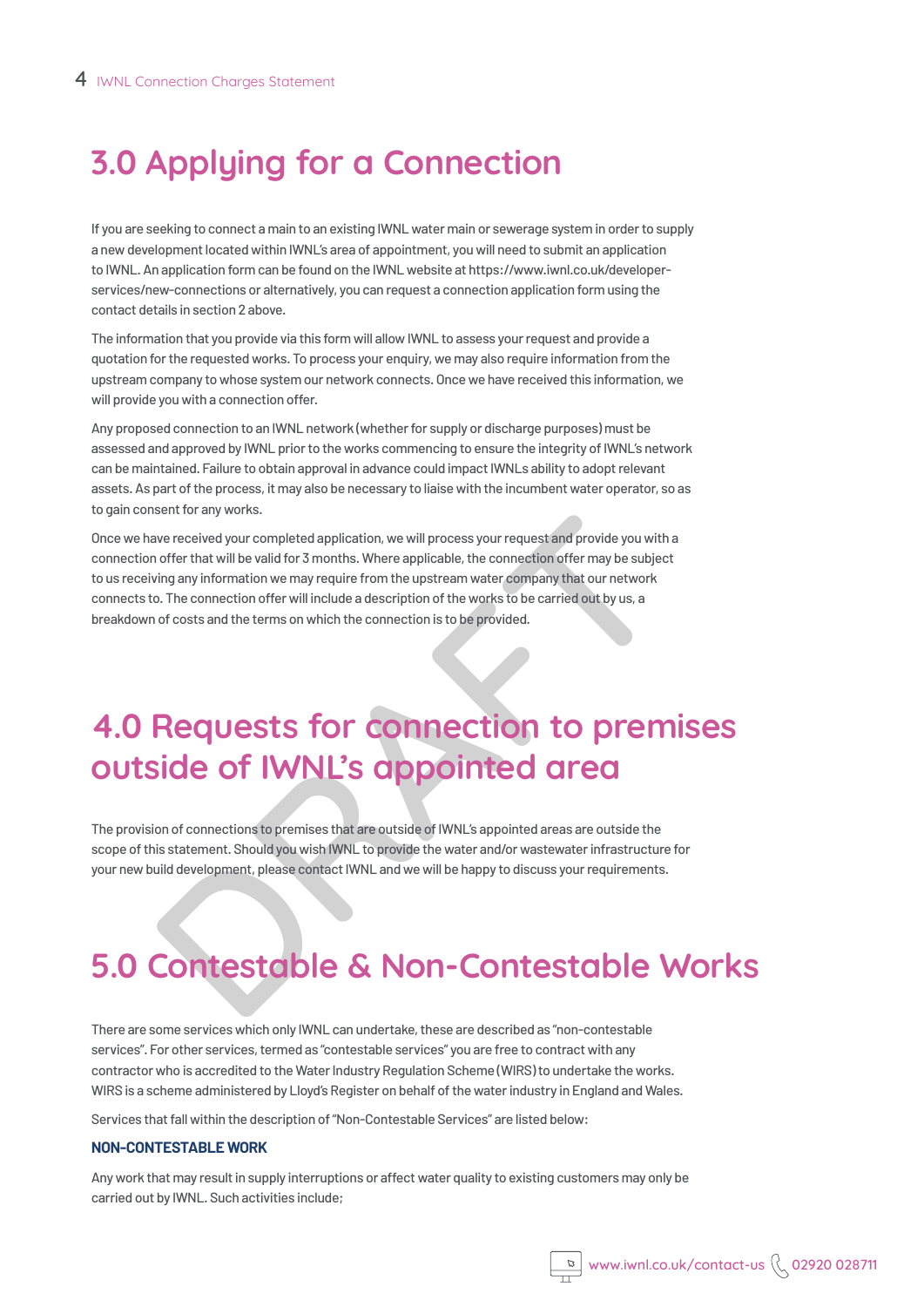### **3.0 Applying for a Connection**

If you are seeking to connect a main to an existing IWNL water main or sewerage system in order to supply a new development located within IWNL's area of appointment, you will need to submit an application to IWNL. An application form can be found on the IWNL website at https://www.iwnl.co.uk/developerservices/new-connections or alternatively, you can request a connection application form using the contact details in section 2 above.

The information that you provide via this form will allow IWNL to assess your request and provide a quotation for the requested works. To process your enquiry, we may also require information from the upstream company to whose system our network connects. Once we have received this information, we will provide you with a connection offer.

Any proposed connection to an IWNL network (whether for supply or discharge purposes) must be assessed and approved by IWNL prior to the works commencing to ensure the integrity of IWNL's network can be maintained. Failure to obtain approval in advance could impact IWNLs ability to adopt relevant assets. As part of the process, it may also be necessary to liaise with the incumbent water operator, so as to gain consent for any works.

such that will be valid for 3 months. Where applicable, the connection offer that will be valid for 3 months. Where applicable, the connection offer may be subjecting any information we may require from the upstream water Once we have received your completed application, we will process your request and provide you with a connection offer that will be valid for 3 months. Where applicable, the connection offer may be subject to us receiving any information we may require from the upstream water company that our network connects to. The connection offer will include a description of the works to be carried out by us, a breakdown of costs and the terms on which the connection is to be provided.

### **4.0 Requests for connection to premises outside of IWNL's appointed area**

The provision of connections to premises that are outside of IWNL's appointed areas are outside the scope of this statement. Should you wish IWNL to provide the water and/or wastewater infrastructure for your new build development, please contact IWNL and we will be happy to discuss your requirements.

### **5.0 Contestable & Non-Contestable Works**

There are some services which only IWNL can undertake, these are described as "non-contestable services". For other services, termed as "contestable services" you are free to contract with any contractor who is accredited to the Water Industry Regulation Scheme (WIRS) to undertake the works. WIRS is a scheme administered by Lloyd's Register on behalf of the water industry in England and Wales.

Services that fall within the description of "Non-Contestable Services" are listed below:

#### **NON-CONTESTABLE WORK**

Any work that may result in supply interruptions or affect water quality to existing customers may only be carried out by IWNL. Such activities include;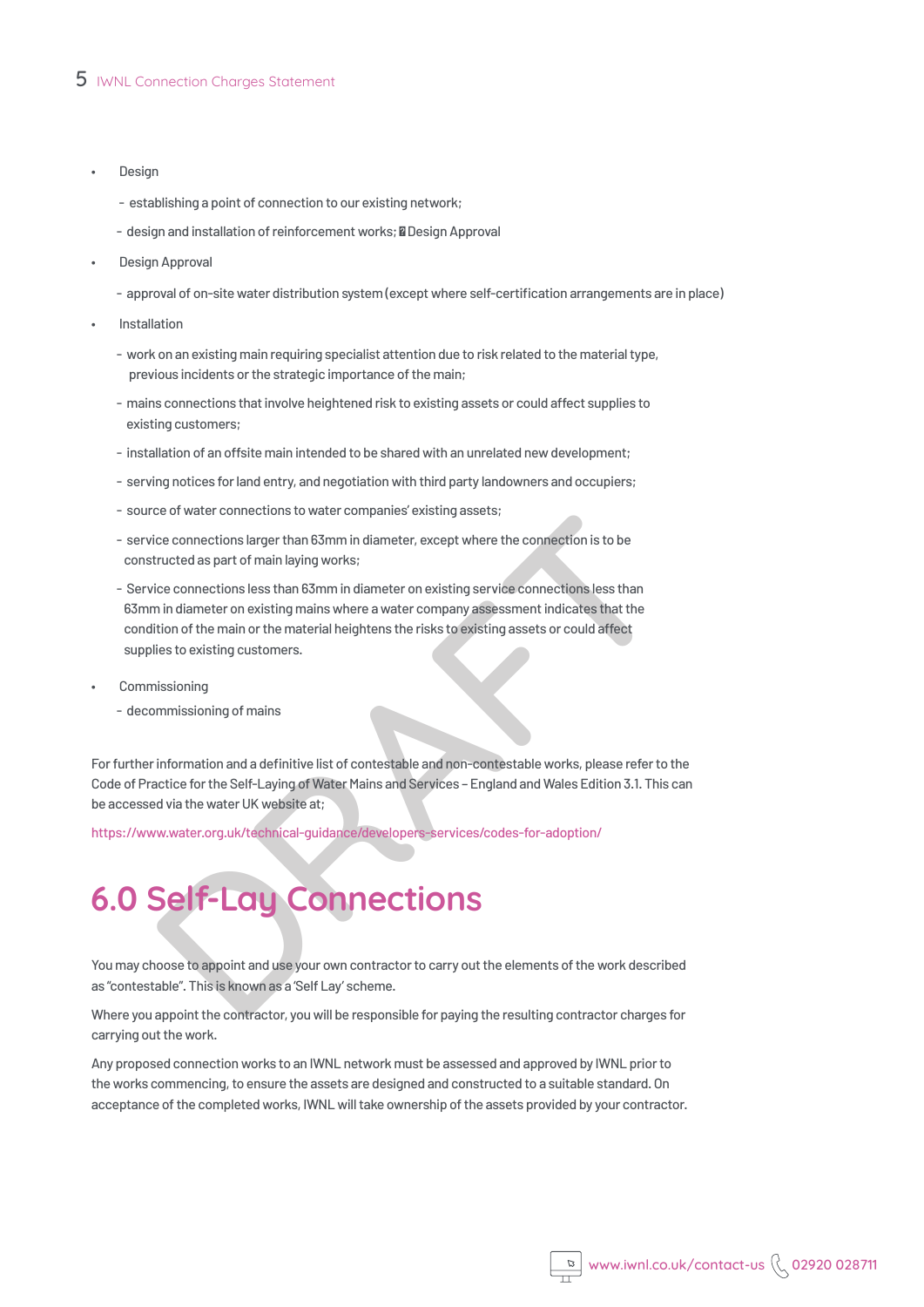#### 5 IWNL Connection Charges Statement

- **Design** 
	- establishing a point of connection to our existing network;
	- design and installation of reinforcement works; **a** Design Approval
- Design Approval
	- approval of on-site water distribution system (except where self-certification arrangements are in place)
- **Installation** 
	- work on an existing main requiring specialist attention due to risk related to the material type, previous incidents or the strategic importance of the main;
	- mains connections that involve heightened risk to existing assets or could affect supplies to existing customers;
	- installation of an offsite main intended to be shared with an unrelated new development;
	- serving notices for land entry, and negotiation with third party landowners and occupiers;
	- source of water connections to water companies' existing assets;
	- service connections larger than 63mm in diameter, except where the connection is to be constructed as part of main laying works;
	- eco connections larger than 63mm in diameter, except where the connection is to be<br>tructed as part of main laying works;<br>ticle connections less than 63mm in diameter on existing service connections less than<br>thin diameter - Service connections less than 63mm in diameter on existing service connections less than 63mm in diameter on existing mains where a water company assessment indicates that the condition of the main or the material heightens the risks to existing assets or could affect supplies to existing customers.
- **Commissioning** 
	- decommissioning of mains

For further information and a definitive list of contestable and non-contestable works, please refer to the Code of Practice for the Self-Laying of Water Mains and Services – England and Wales Edition 3.1. This can be accessed via the water UK website at;

https://www.water.org.uk/technical-guidance/developers-services/codes-for-adoption/

### **6.0 Self-Lay Connections**

You may choose to appoint and use your own contractor to carry out the elements of the work described as "contestable". This is known as a 'Self Lay' scheme.

Where you appoint the contractor, you will be responsible for paying the resulting contractor charges for carrying out the work.

Any proposed connection works to an IWNL network must be assessed and approved by IWNL prior to the works commencing, to ensure the assets are designed and constructed to a suitable standard. On acceptance of the completed works, IWNL will take ownership of the assets provided by your contractor.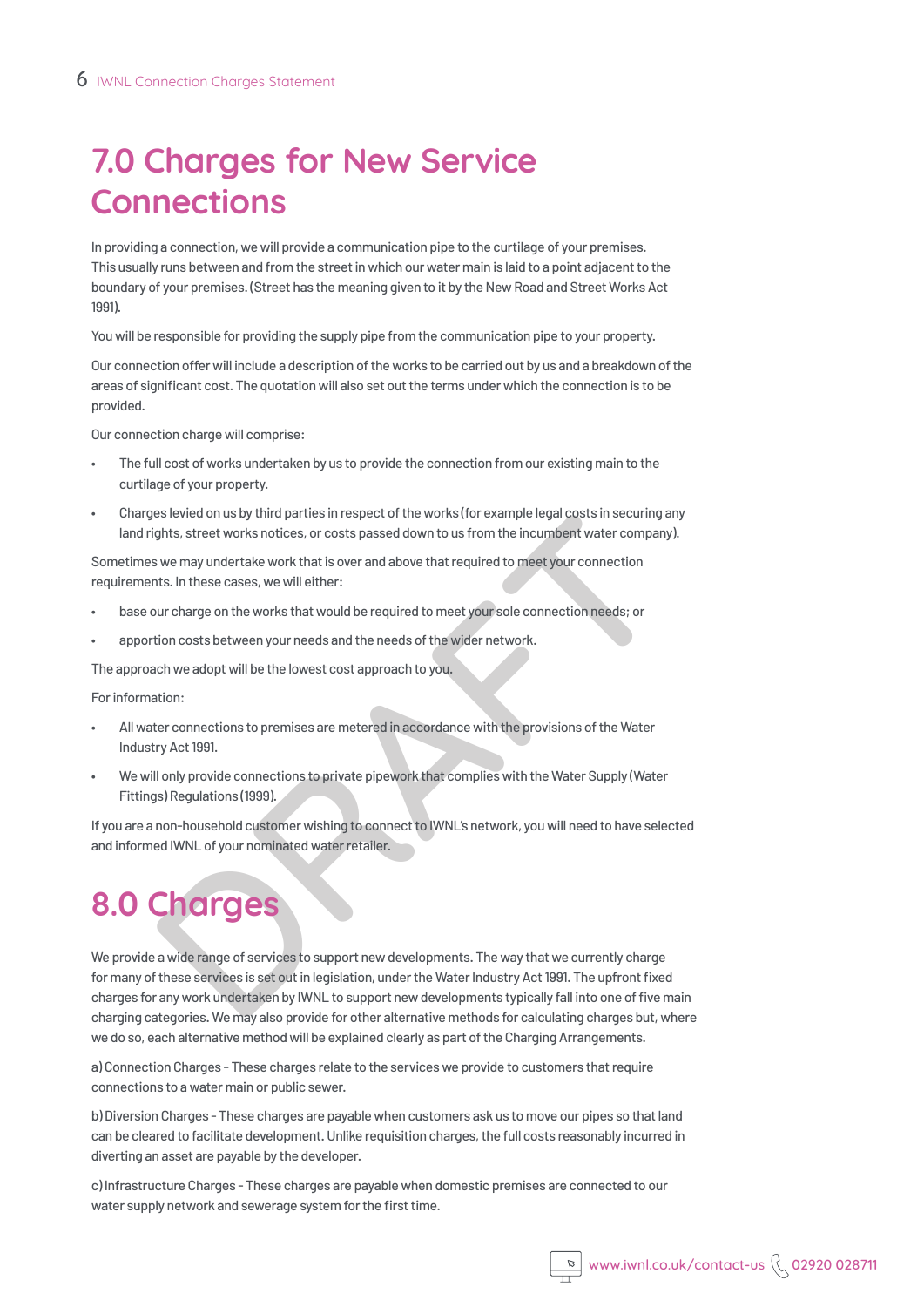### **7.0 Charges for New Service Connections**

In providing a connection, we will provide a communication pipe to the curtilage of your premises. This usually runs between and from the street in which our water main is laid to a point adjacent to the boundary of your premises. (Street has the meaning given to it by the New Road and Street Works Act 1991).

You will be responsible for providing the supply pipe from the communication pipe to your property.

Our connection offer will include a description of the works to be carried out by us and a breakdown of the areas of significant cost. The quotation will also set out the terms under which the connection is to be provided.

Our connection charge will comprise:

- The full cost of works undertaken by us to provide the connection from our existing main to the curtilage of your property.
- Charges levied on us by third parties in respect of the works (for example legal costs in securing any land rights, street works notices, or costs passed down to us from the incumbent water company).

Sometimes we may undertake work that is over and above that required to meet your connection requirements. In these cases, we will either:

- base our charge on the works that would be required to meet your sole connection needs; or
- apportion costs between your needs and the needs of the wider network.

The approach we adopt will be the lowest cost approach to you.

For information:

- All water connections to premises are metered in accordance with the provisions of the Water Industry Act 1991.
- We will only provide connections to private pipework that complies with the Water Supply (Water Fittings) Regulations (1999).

If you are a non-household customer wishing to connect to IWNL's network, you will need to have selected and informed IWNL of your nominated water retailer.

### **8.0 Charges**

es level on us by intraparties in respect of the workstore example legat oss in security.<br>This is the technomic symmatric are costs passed down to us from the incumbent water companity we may undertake work that is over an We provide a wide range of services to support new developments. The way that we currently charge for many of these services is set out in legislation, under the Water Industry Act 1991. The upfront fixed charges for any work undertaken by IWNL to support new developments typically fall into one of five main charging categories. We may also provide for other alternative methods for calculating charges but, where we do so, each alternative method will be explained clearly as part of the Charging Arrangements.

a) Connection Charges - These charges relate to the services we provide to customers that require connections to a water main or public sewer.

b) Diversion Charges - These charges are payable when customers ask us to move our pipes so that land can be cleared to facilitate development. Unlike requisition charges, the full costs reasonably incurred in diverting an asset are payable by the developer.

c) Infrastructure Charges - These charges are payable when domestic premises are connected to our water supply network and sewerage system for the first time.